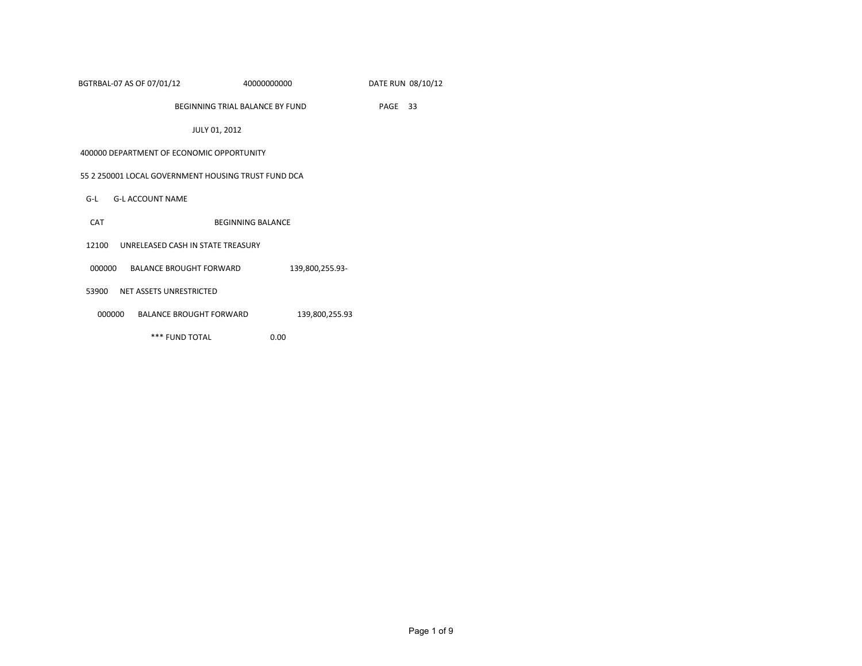| BGTRBAL-07 AS OF 07/01/12 | 40000000000 | DATE RUN 08/10/12 |
|---------------------------|-------------|-------------------|
|---------------------------|-------------|-------------------|

BEGINNING TRIAL BALANCE BY FUND PAGE 33

JULY 01, 2012

#### 400000 DEPARTMENT OF ECONOMIC OPPORTUNITY

#### 55 2 250001 LOCAL GOVERNMENT HOUSING TRUST FUND DCA

- G-L G-L ACCOUNT NAME
- CAT BEGINNING BALANCE
- 12100 UNRELEASED CASH IN STATE TREASURY
- 000000 BALANCE BROUGHT FORWARD 139,800,255.93-
- 53900 NET ASSETS UNRESTRICTED
- 000000 BALANCE BROUGHT FORWARD 139,800,255.93
	- \*\*\* FUND TOTAL 0.00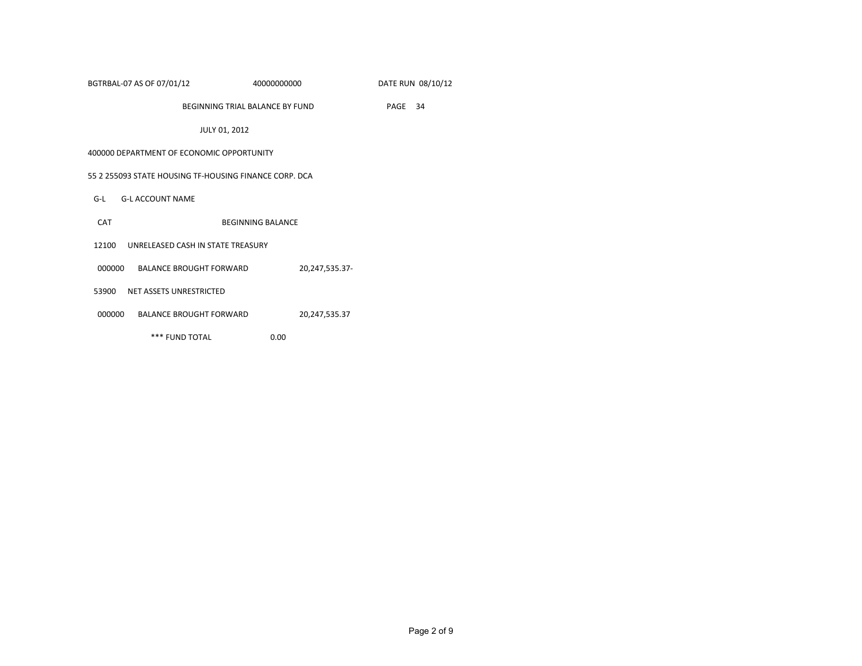| BGTRBAL-07 AS OF 07/01/12 | 40000000000 | DATE RUN 08/10/12 |
|---------------------------|-------------|-------------------|
|                           |             |                   |

BEGINNING TRIAL BALANCE BY FUND PAGE 34

JULY 01, 2012

### 400000 DEPARTMENT OF ECONOMIC OPPORTUNITY

### 55 2 255093 STATE HOUSING TF-HOUSING FINANCE CORP. DCA

- G-L G-L ACCOUNT NAME
- CAT BEGINNING BALANCE
- 12100 UNRELEASED CASH IN STATE TREASURY
- 000000 BALANCE BROUGHT FORWARD 20,247,535.37-
- 53900 NET ASSETS UNRESTRICTED
- 000000 BALANCE BROUGHT FORWARD 20,247,535.37
	- \*\*\* FUND TOTAL 0.00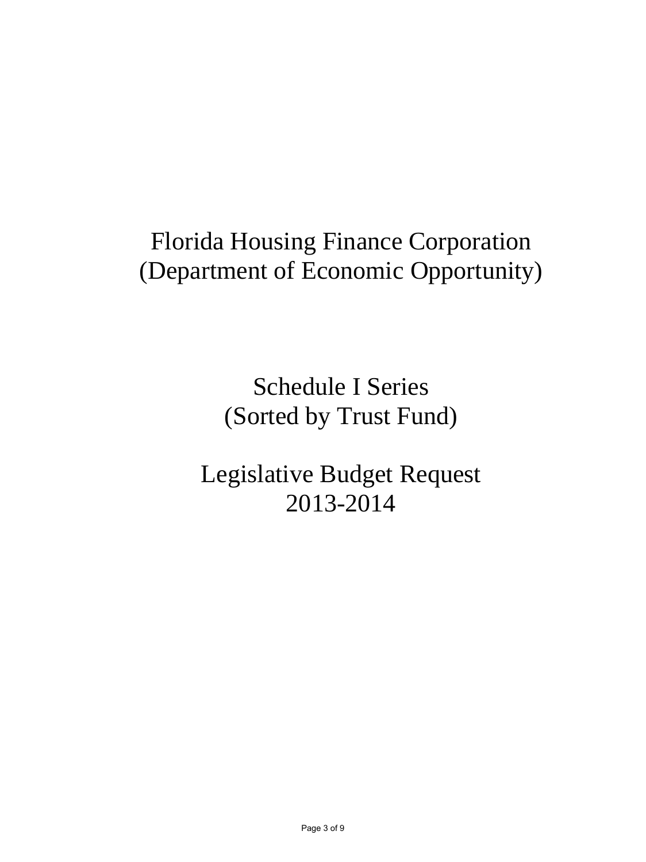# Florida Housing Finance Corporation (Department of Economic Opportunity)

Schedule I Series (Sorted by Trust Fund)

Legislative Budget Request 2013-2014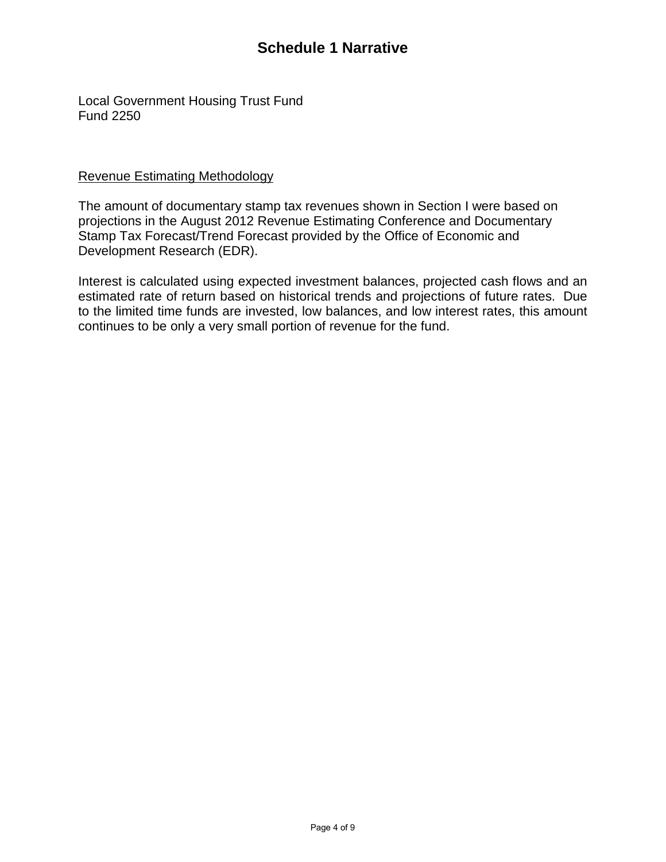Local Government Housing Trust Fund Fund 2250

## Revenue Estimating Methodology

The amount of documentary stamp tax revenues shown in Section I were based on projections in the August 2012 Revenue Estimating Conference and Documentary Stamp Tax Forecast/Trend Forecast provided by the Office of Economic and Development Research (EDR).

Interest is calculated using expected investment balances, projected cash flows and an estimated rate of return based on historical trends and projections of future rates. Due to the limited time funds are invested, low balances, and low interest rates, this amount continues to be only a very small portion of revenue for the fund.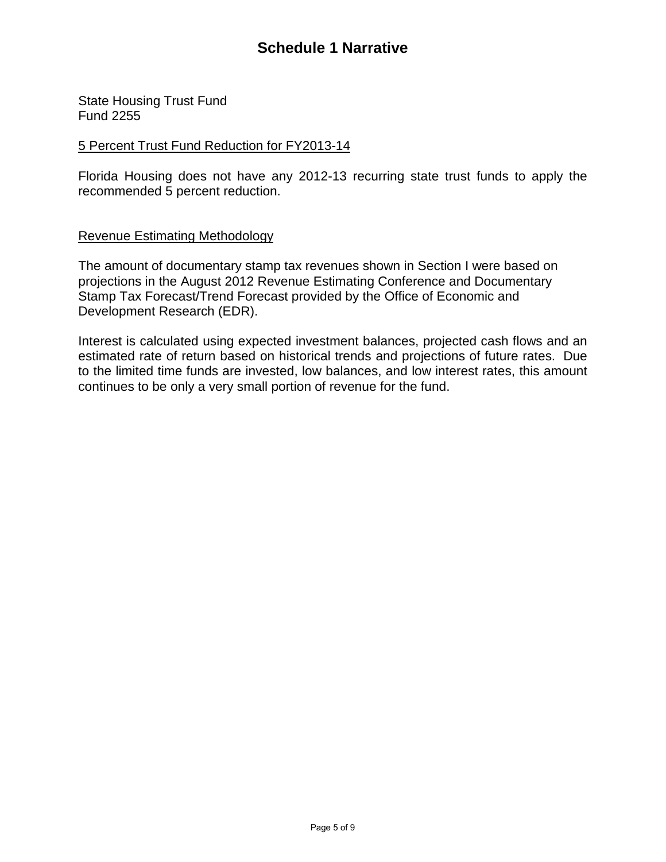State Housing Trust Fund Fund 2255

## 5 Percent Trust Fund Reduction for FY2013-14

Florida Housing does not have any 2012-13 recurring state trust funds to apply the recommended 5 percent reduction.

## Revenue Estimating Methodology

The amount of documentary stamp tax revenues shown in Section I were based on projections in the August 2012 Revenue Estimating Conference and Documentary Stamp Tax Forecast/Trend Forecast provided by the Office of Economic and Development Research (EDR).

Interest is calculated using expected investment balances, projected cash flows and an estimated rate of return based on historical trends and projections of future rates. Due to the limited time funds are invested, low balances, and low interest rates, this amount continues to be only a very small portion of revenue for the fund.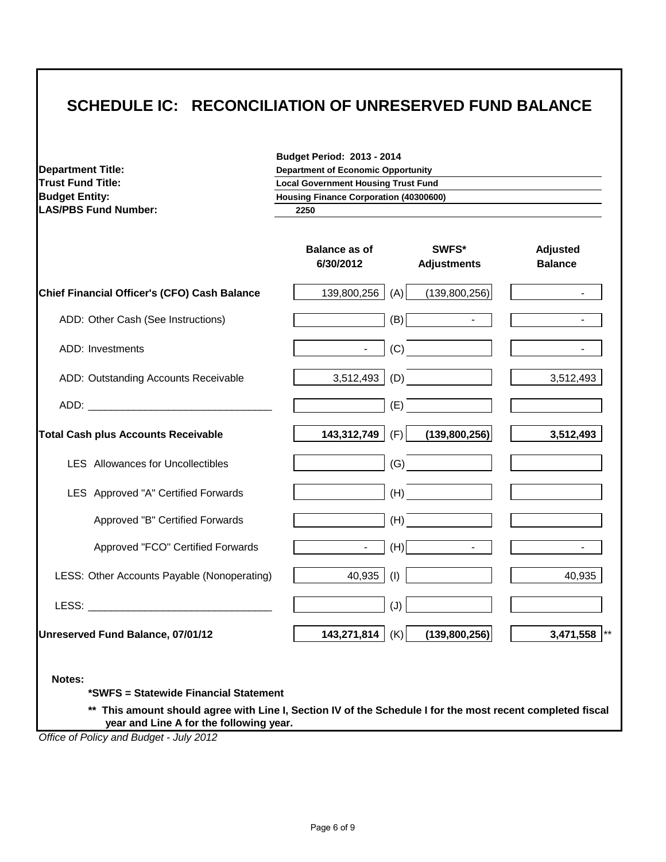# **SCHEDULE IC: RECONCILIATION OF UNRESERVED FUND BALANCE**

| <b>Department Title:</b>                                                                                                                                                                                                       | <b>Budget Period: 2013 - 2014</b><br><b>Department of Economic Opportunity</b><br><b>Local Government Housing Trust Fund</b> |                             |                                   |
|--------------------------------------------------------------------------------------------------------------------------------------------------------------------------------------------------------------------------------|------------------------------------------------------------------------------------------------------------------------------|-----------------------------|-----------------------------------|
| <b>Trust Fund Title:</b>                                                                                                                                                                                                       |                                                                                                                              |                             |                                   |
| <b>Budget Entity:</b>                                                                                                                                                                                                          | <b>Housing Finance Corporation (40300600)</b>                                                                                |                             |                                   |
| <b>LAS/PBS Fund Number:</b>                                                                                                                                                                                                    | 2250                                                                                                                         |                             |                                   |
|                                                                                                                                                                                                                                | <b>Balance as of</b><br>6/30/2012                                                                                            | SWFS*<br><b>Adjustments</b> | <b>Adjusted</b><br><b>Balance</b> |
| Chief Financial Officer's (CFO) Cash Balance                                                                                                                                                                                   | 139,800,256 (A)                                                                                                              | (139,800,256)               |                                   |
| ADD: Other Cash (See Instructions)                                                                                                                                                                                             |                                                                                                                              | (B)<br>$\mathbf{r}$         |                                   |
| ADD: Investments                                                                                                                                                                                                               |                                                                                                                              | (C)                         |                                   |
| ADD: Outstanding Accounts Receivable                                                                                                                                                                                           | $3,512,493$ (D)                                                                                                              |                             | 3,512,493                         |
| ADD: AND THE CONTRACT OF THE CONTRACT OF THE CONTRACT OF THE CONTRACT OF THE CONTRACT OF THE CONTRACT OF THE CONTRACT OF THE CONTRACT OF THE CONTRACT OF THE CONTRACT OF THE CONTRACT OF THE CONTRACT OF THE CONTRACT OF THE C |                                                                                                                              | (E)                         |                                   |
| <b>Total Cash plus Accounts Receivable</b>                                                                                                                                                                                     | 143,312,749                                                                                                                  | $(F)$ (139,800,256)         | 3,512,493                         |
| <b>LES</b> Allowances for Uncollectibles                                                                                                                                                                                       |                                                                                                                              | (G)                         |                                   |
| LES Approved "A" Certified Forwards                                                                                                                                                                                            | (H)                                                                                                                          |                             |                                   |
| Approved "B" Certified Forwards                                                                                                                                                                                                | (H)                                                                                                                          |                             |                                   |
| Approved "FCO" Certified Forwards                                                                                                                                                                                              | (H)<br>$\mathbf{L}$                                                                                                          | $\mathbb{Z}^{\mathbb{Z}}$   |                                   |
| LESS: Other Accounts Payable (Nonoperating)                                                                                                                                                                                    | (1)<br>40,935                                                                                                                |                             | 40,935                            |
|                                                                                                                                                                                                                                | (J)                                                                                                                          |                             |                                   |
| Unreserved Fund Balance, 07/01/12                                                                                                                                                                                              | 143,271,814 $ $ (K)                                                                                                          | (139,800,256)               | 3,471,558 **                      |

**\*\* This amount should agree with Line I, Section IV of the Schedule I for the most recent completed fiscal year and Line A for the following year.**

*Office of Policy and Budget - July 2012*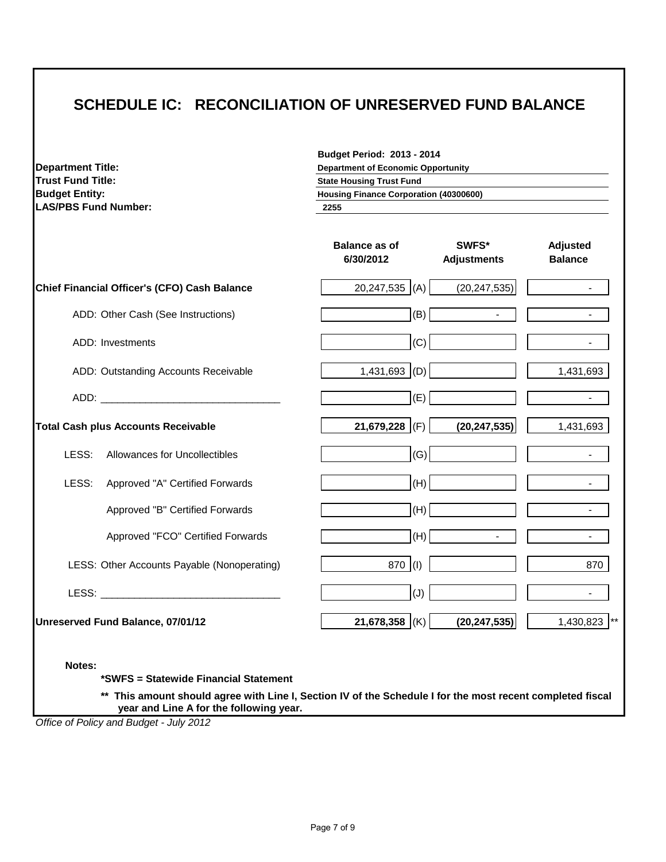## **SCHEDULE IC: RECONCILIATION OF UNRESERVED FUND BALANCE**

| <b>Department Title:</b><br><b>Trust Fund Title:</b><br><b>Budget Entity:</b><br><b>LAS/PBS Fund Number:</b> | <b>Budget Period: 2013 - 2014</b><br><b>Department of Economic Opportunity</b><br><b>State Housing Trust Fund</b><br><b>Housing Finance Corporation (40300600)</b><br>2255 |                            |  |
|--------------------------------------------------------------------------------------------------------------|----------------------------------------------------------------------------------------------------------------------------------------------------------------------------|----------------------------|--|
|                                                                                                              | <b>Balance as of</b><br><b>SWFS*</b><br>6/30/2012<br><b>Adjustments</b>                                                                                                    | Adjusted<br><b>Balance</b> |  |
| Chief Financial Officer's (CFO) Cash Balance                                                                 | $20,247,535$ (A)<br>(20, 247, 535)                                                                                                                                         | $\mathbf{r}$               |  |
| ADD: Other Cash (See Instructions)                                                                           | (B)<br>$\blacksquare$                                                                                                                                                      | $\sim$                     |  |
| ADD: Investments                                                                                             | (C)                                                                                                                                                                        |                            |  |
| ADD: Outstanding Accounts Receivable                                                                         | $1,431,693$ (D)                                                                                                                                                            | 1,431,693                  |  |
|                                                                                                              | (E)                                                                                                                                                                        |                            |  |
| <b>Total Cash plus Accounts Receivable</b>                                                                   | 21,679,228 (F)<br>(20, 247, 535)                                                                                                                                           | 1,431,693                  |  |
| LESS:<br>Allowances for Uncollectibles                                                                       | (G)                                                                                                                                                                        | $\blacksquare$             |  |
| LESS:<br>Approved "A" Certified Forwards                                                                     | (H)                                                                                                                                                                        |                            |  |
| Approved "B" Certified Forwards                                                                              | (H)                                                                                                                                                                        | $\overline{a}$             |  |
| Approved "FCO" Certified Forwards                                                                            | (H)<br>$\blacksquare$                                                                                                                                                      | $\blacksquare$             |  |
| LESS: Other Accounts Payable (Nonoperating)                                                                  | 870 (I)                                                                                                                                                                    | 870                        |  |
| LESS: <b>Example 2018</b>                                                                                    | (J)                                                                                                                                                                        |                            |  |
| Unreserved Fund Balance, 07/01/12                                                                            | 21,678,358 (K)<br>(20, 247, 535)                                                                                                                                           | 1,430,823 **               |  |

**Notes:**

**\*SWFS = Statewide Financial Statement** 

**\*\* This amount should agree with Line I, Section IV of the Schedule I for the most recent completed fiscal year and Line A for the following year.**

*Office of Policy and Budget - July 2012*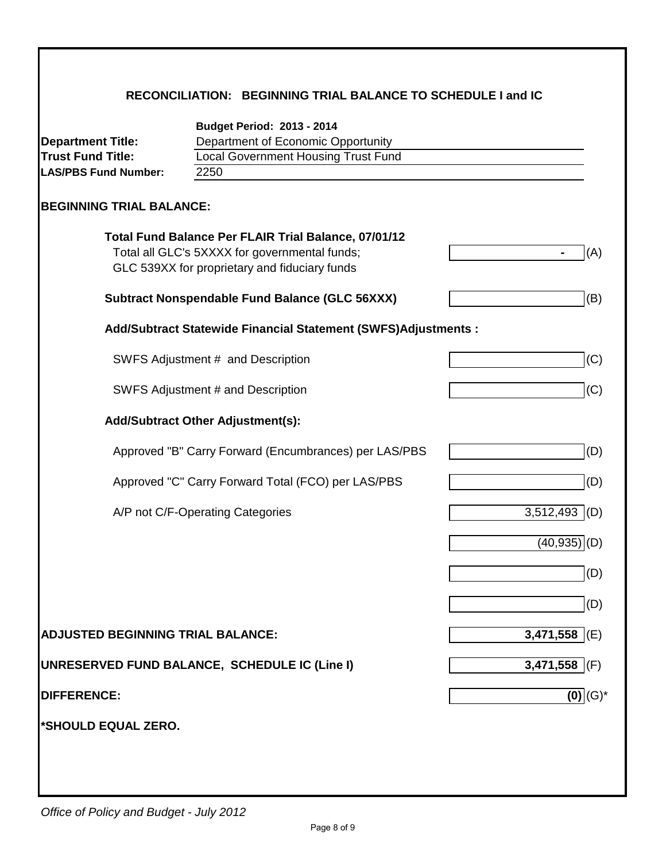|  | RECONCILIATION: BEGINNING TRIAL BALANCE TO SCHEDULE I and IC |
|--|--------------------------------------------------------------|
|--|--------------------------------------------------------------|

|                                          | <b>Budget Period: 2013 - 2014</b>                                                                                                                      |                  |
|------------------------------------------|--------------------------------------------------------------------------------------------------------------------------------------------------------|------------------|
| <b>Department Title:</b>                 | Department of Economic Opportunity                                                                                                                     |                  |
| <b>Trust Fund Title:</b>                 | <b>Local Government Housing Trust Fund</b>                                                                                                             |                  |
| <b>LAS/PBS Fund Number:</b>              | 2250                                                                                                                                                   |                  |
| <b>BEGINNING TRIAL BALANCE:</b>          |                                                                                                                                                        |                  |
|                                          | Total Fund Balance Per FLAIR Trial Balance, 07/01/12<br>Total all GLC's 5XXXX for governmental funds;<br>GLC 539XX for proprietary and fiduciary funds | (A)              |
|                                          | <b>Subtract Nonspendable Fund Balance (GLC 56XXX)</b>                                                                                                  | (B)              |
|                                          | Add/Subtract Statewide Financial Statement (SWFS)Adjustments :                                                                                         |                  |
|                                          | SWFS Adjustment # and Description                                                                                                                      | (C)              |
|                                          | SWFS Adjustment # and Description                                                                                                                      | (C)              |
|                                          | <b>Add/Subtract Other Adjustment(s):</b>                                                                                                               |                  |
|                                          | Approved "B" Carry Forward (Encumbrances) per LAS/PBS                                                                                                  | (D)              |
|                                          | Approved "C" Carry Forward Total (FCO) per LAS/PBS                                                                                                     | (D)              |
|                                          | A/P not C/F-Operating Categories                                                                                                                       | 3,512,493<br>(D) |
|                                          |                                                                                                                                                        | (40, 935)<br>(D) |
|                                          |                                                                                                                                                        | (D)              |
|                                          |                                                                                                                                                        | (D)              |
| <b>ADJUSTED BEGINNING TRIAL BALANCE:</b> |                                                                                                                                                        | 3,471,558 $ E $  |
|                                          | UNRESERVED FUND BALANCE, SCHEDULE IC (Line I)                                                                                                          | $3,471,558$ (F)  |
| <b>DIFFERENCE:</b>                       |                                                                                                                                                        | $(0)$ $(G)^*$    |
| *SHOULD EQUAL ZERO.                      |                                                                                                                                                        |                  |
|                                          |                                                                                                                                                        |                  |